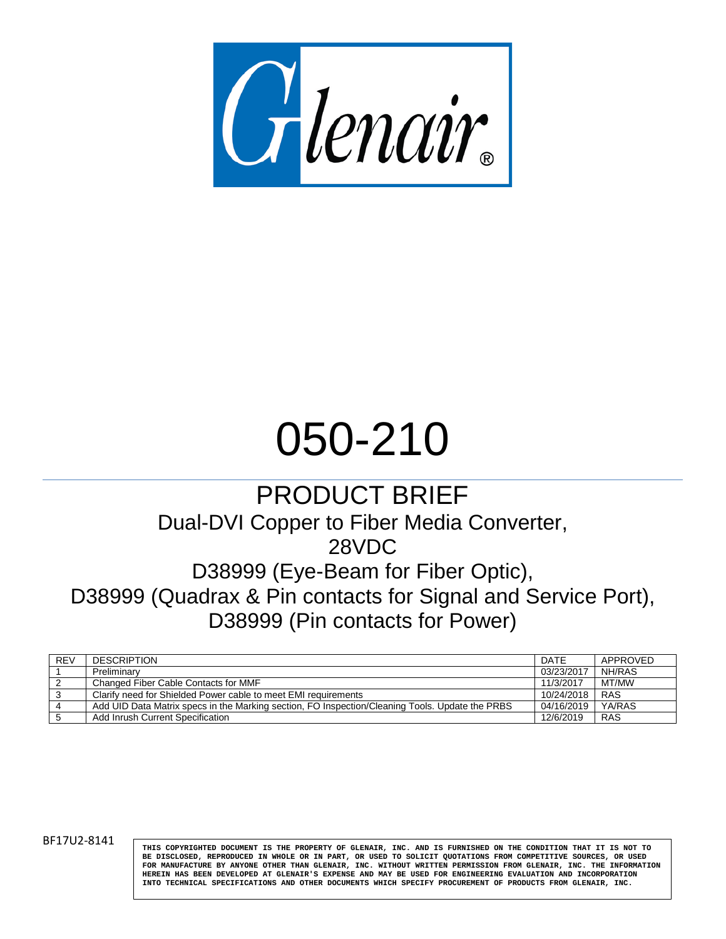

# 050-210

## PRODUCT BRIEF

## Dual-DVI Copper to Fiber Media Converter,

28VDC

D38999 (Eye-Beam for Fiber Optic),

D38999 (Quadrax & Pin contacts for Signal and Service Port), D38999 (Pin contacts for Power)

| <b>REV</b> | <b>DESCRIPTION</b>                                                                              | DATE       | APPROVED   |
|------------|-------------------------------------------------------------------------------------------------|------------|------------|
|            | Preliminary                                                                                     | 03/23/2017 | NH/RAS     |
|            | Changed Fiber Cable Contacts for MMF                                                            | 11/3/2017  | MT/MW      |
|            | Clarify need for Shielded Power cable to meet EMI requirements                                  | 10/24/2018 | <b>RAS</b> |
|            | Add UID Data Matrix specs in the Marking section, FO Inspection/Cleaning Tools. Update the PRBS | 04/16/2019 | YA/RAS     |
|            | Add Inrush Current Specification                                                                | 12/6/2019  | <b>RAS</b> |

BF17U2-8141

**THIS COPYRIGHTED DOCUMENT IS THE PROPERTY OF GLENAIR, INC. AND IS FURNISHED ON THE CONDITION THAT IT IS NOT TO BE DISCLOSED, REPRODUCED IN WHOLE OR IN PART, OR USED TO SOLICIT QUOTATIONS FROM COMPETITIVE SOURCES, OR USED FOR MANUFACTURE BY ANYONE OTHER THAN GLENAIR, INC. WITHOUT WRITTEN PERMISSION FROM GLENAIR, INC. THE INFORMATION HEREIN HAS BEEN DEVELOPED AT GLENAIR'S EXPENSE AND MAY BE USED FOR ENGINEERING EVALUATION AND INCORPORATION INTO TECHNICAL SPECIFICATIONS AND OTHER DOCUMENTS WHICH SPECIFY PROCUREMENT OF PRODUCTS FROM GLENAIR, INC.**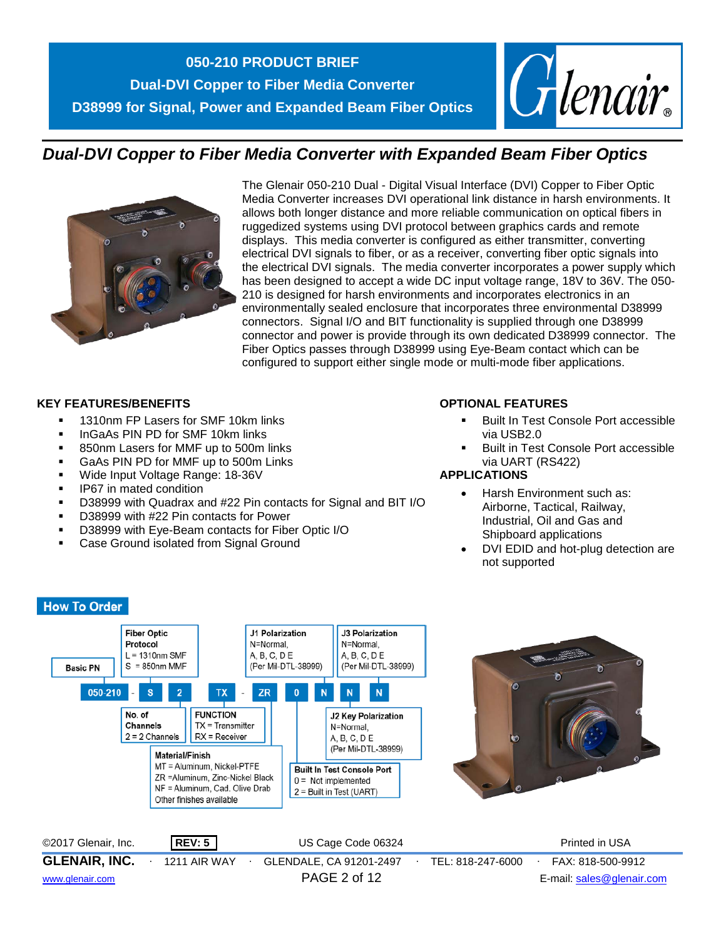

## *Dual-DVI Copper to Fiber Media Converter with Expanded Beam Fiber Optics*



The Glenair 050-210 Dual - Digital Visual Interface (DVI) Copper to Fiber Optic Media Converter increases DVI operational link distance in harsh environments. It allows both longer distance and more reliable communication on optical fibers in ruggedized systems using DVI protocol between graphics cards and remote displays. This media converter is configured as either transmitter, converting electrical DVI signals to fiber, or as a receiver, converting fiber optic signals into the electrical DVI signals. The media converter incorporates a power supply which has been designed to accept a wide DC input voltage range, 18V to 36V. The 050- 210 is designed for harsh environments and incorporates electronics in an environmentally sealed enclosure that incorporates three environmental D38999 connectors. Signal I/O and BIT functionality is supplied through one D38999 connector and power is provide through its own dedicated D38999 connector. The Fiber Optics passes through D38999 using Eye-Beam contact which can be configured to support either single mode or multi-mode fiber applications.

#### **KEY FEATURES/BENEFITS**

- **1310nm FP Lasers for SMF 10km links**
- **IngaAs PIN PD for SMF 10km links**
- 850nm Lasers for MMF up to 500m links
- GaAs PIN PD for MMF up to 500m Links
- **Wide Input Voltage Range: 18-36V**
- **IP67** in mated condition
- D38999 with Quadrax and #22 Pin contacts for Signal and BIT I/O
- D38999 with #22 Pin contacts for Power
- D38999 with Eye-Beam contacts for Fiber Optic I/O
- Case Ground isolated from Signal Ground

#### **OPTIONAL FEATURES**

- Built In Test Console Port accessible via USB2.0
- Built in Test Console Port accessible via UART (RS422)

#### **APPLICATIONS**

- Harsh Environment such as: Airborne, Tactical, Railway, Industrial, Oil and Gas and Shipboard applications
- DVI EDID and hot-plug detection are not supported



#### **How To Order**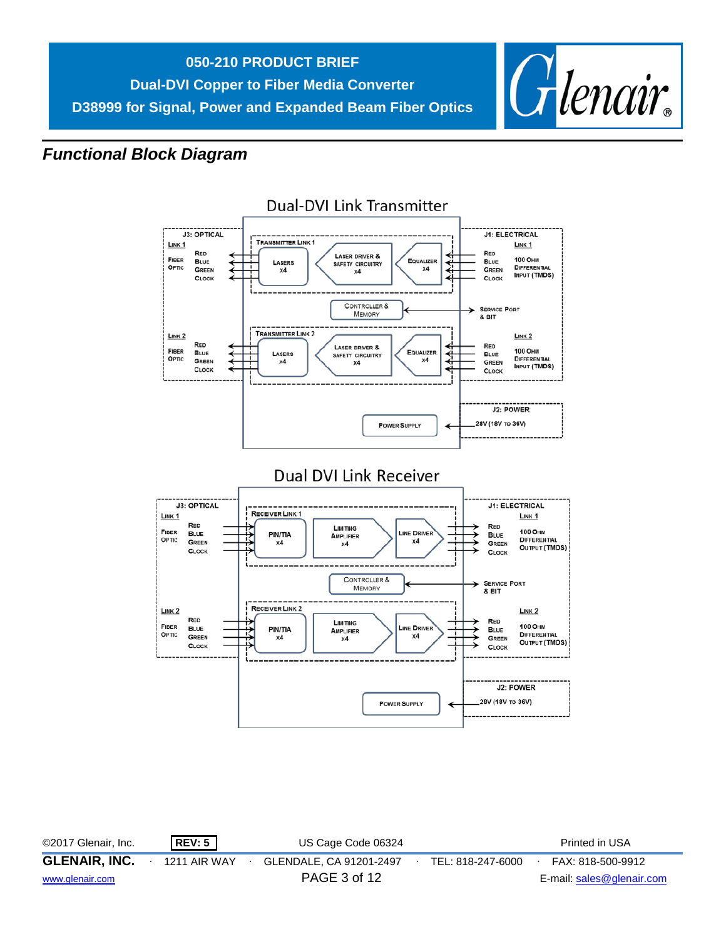

## *Functional Block Diagram*



## **Dual-DVI Link Transmitter**

| ©2017 Glenair, Inc.  | <b>REV: 5</b> | US Cage Code 06324      |                   | Printed in USA            |
|----------------------|---------------|-------------------------|-------------------|---------------------------|
| <b>GLENAIR, INC.</b> | 1211 AIR WAY  | GLENDALE, CA 91201-2497 | TEL: 818-247-6000 | FAX: 818-500-9912         |
| www.glenair.com      |               | PAGE 3 of 12            |                   | E-mail: sales@glenair.com |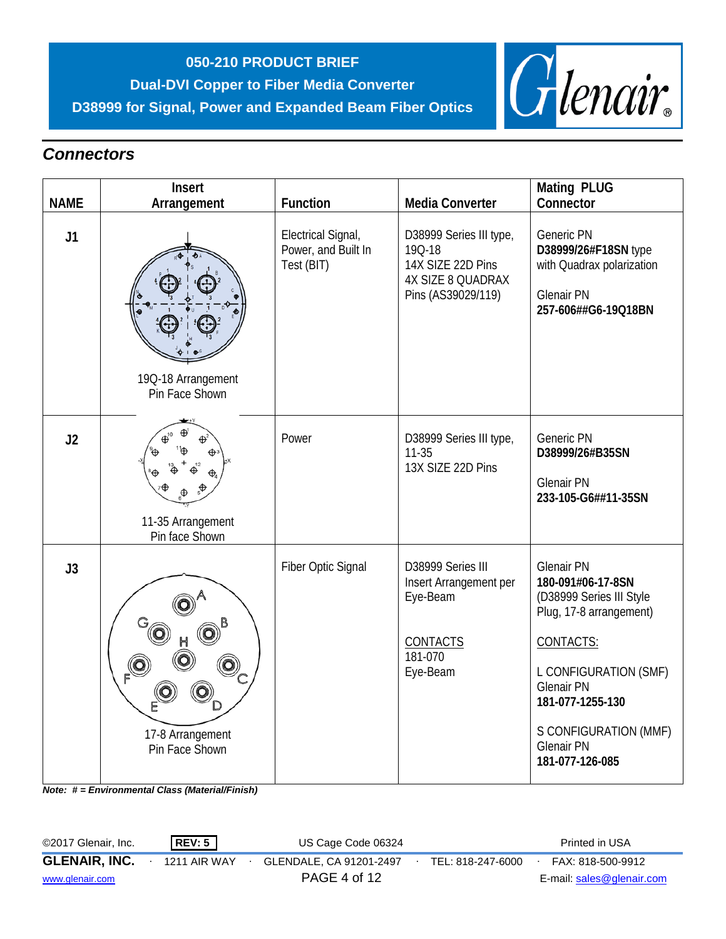## **050-210 PRODUCT BRIEF Dual-DVI Copper to Fiber Media Converter D38999 for Signal, Power and Expanded Beam Fiber Optics**



## *Connectors*

|             | Insert                               |                                                         |                                                                                                          | <b>Mating PLUG</b>                                                                                                                                                                                                                            |
|-------------|--------------------------------------|---------------------------------------------------------|----------------------------------------------------------------------------------------------------------|-----------------------------------------------------------------------------------------------------------------------------------------------------------------------------------------------------------------------------------------------|
| <b>NAME</b> | Arrangement                          | <b>Function</b>                                         | <b>Media Converter</b>                                                                                   | Connector                                                                                                                                                                                                                                     |
| J1          | 19Q-18 Arrangement<br>Pin Face Shown | Electrical Signal,<br>Power, and Built In<br>Test (BIT) | D38999 Series III type,<br>19Q-18<br>14X SIZE 22D Pins<br><b>4X SIZE 8 QUADRAX</b><br>Pins (AS39029/119) | Generic PN<br>D38999/26#F18SN type<br>with Quadrax polarization<br><b>Glenair PN</b><br>257-606##G6-19Q18BN                                                                                                                                   |
| J2          | 11-35 Arrangement<br>Pin face Shown  | Power                                                   | D38999 Series III type,<br>$11 - 35$<br>13X SIZE 22D Pins                                                | Generic PN<br>D38999/26#B35SN<br><b>Glenair PN</b><br>233-105-G6##11-35SN                                                                                                                                                                     |
| J3          | 17-8 Arrangement<br>Pin Face Shown   | Fiber Optic Signal                                      | D38999 Series III<br>Insert Arrangement per<br>Eye-Beam<br>CONTACTS<br>181-070<br>Eye-Beam               | <b>Glenair PN</b><br>180-091#06-17-8SN<br>(D38999 Series III Style<br>Plug, 17-8 arrangement)<br>CONTACTS:<br>L CONFIGURATION (SMF)<br><b>Glenair PN</b><br>181-077-1255-130<br>S CONFIGURATION (MMF)<br><b>Glenair PN</b><br>181-077-126-085 |

*Note: # = Environmental Class (Material/Finish)*

| ©2017 Glenair, Inc.  | REV: 5              | US Cage Code 06324      |                   | Printed in USA            |
|----------------------|---------------------|-------------------------|-------------------|---------------------------|
| <b>GLENAIR, INC.</b> | <b>1211 AIR WAY</b> | GLENDALE, CA 91201-2497 | TEL: 818-247-6000 | FAX: 818-500-9912         |
| www.glenair.com      |                     | PAGE 4 of 12            |                   | E-mail: sales@glenair.com |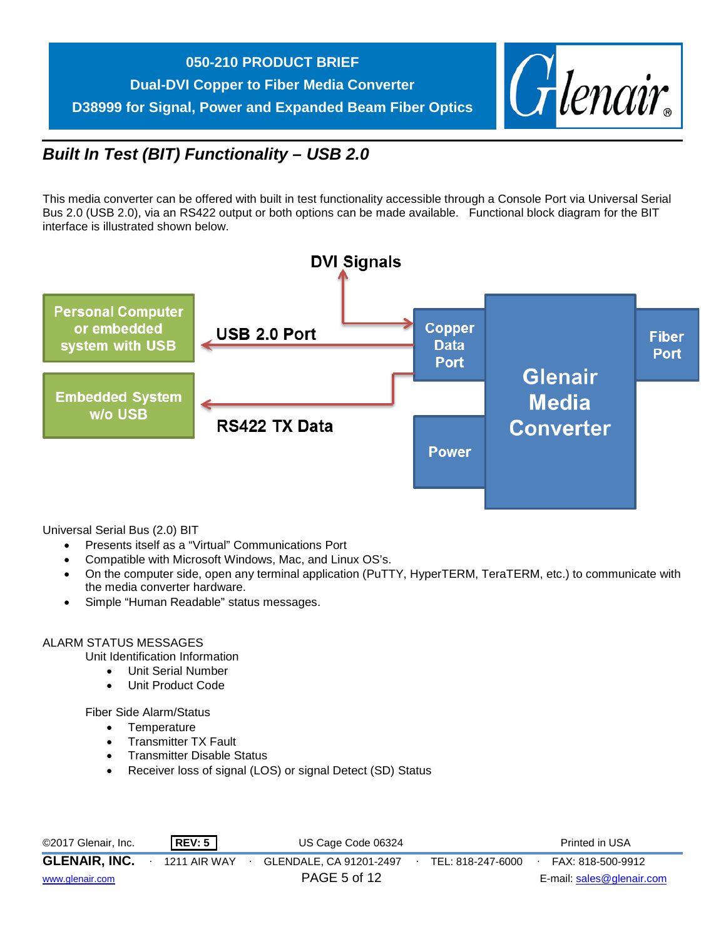



## *Built In Test (BIT) Functionality – USB 2.0*

This media converter can be offered with built in test functionality accessible through a Console Port via Universal Serial Bus 2.0 (USB 2.0), via an RS422 output or both options can be made available. Functional block diagram for the BIT interface is illustrated shown below.



Universal Serial Bus (2.0) BIT

- Presents itself as a "Virtual" Communications Port
- Compatible with Microsoft Windows, Mac, and Linux OS's.
- On the computer side, open any terminal application (PuTTY, HyperTERM, TeraTERM, etc.) to communicate with the media converter hardware.
- Simple "Human Readable" status messages.

#### ALARM STATUS MESSAGES

Unit Identification Information

- Unit Serial Number
- Unit Product Code

Fiber Side Alarm/Status

- **Temperature**
- Transmitter TX Fault
- Transmitter Disable Status
- Receiver loss of signal (LOS) or signal Detect (SD) Status

| ©2017 Glenair, Inc.  | REV: 5       | US Cage Code 06324      |                   | Printed in USA            |
|----------------------|--------------|-------------------------|-------------------|---------------------------|
| <b>GLENAIR, INC.</b> | 1211 AIR WAY | GLENDALE, CA 91201-2497 | TEL: 818-247-6000 | FAX: 818-500-9912         |
| www.glenair.com      |              | PAGE 5 of 12            |                   | E-mail: sales@glenair.com |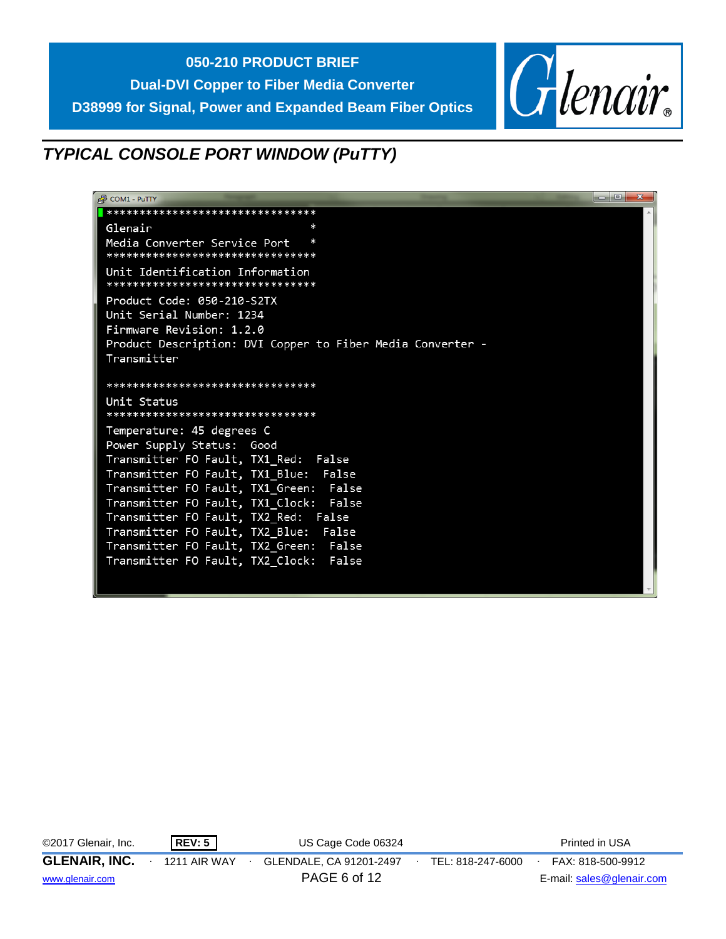



## *TYPICAL CONSOLE PORT WINDOW (PuTTY)*

| <b>POM1 - PUTTY</b>                                                 | o e<br>$-\mathbf{x}$ |
|---------------------------------------------------------------------|----------------------|
| *******************************                                     |                      |
| ×<br>Glenair                                                        |                      |
| Media Converter Service Port<br>*******************************     |                      |
| Unit Identification Information<br>******************************** |                      |
| Product Code: 050-210-S2TX                                          |                      |
| Unit Serial Number: 1234                                            |                      |
| Firmware Revision: 1.2.0                                            |                      |
| Product Description: DVI Copper to Fiber Media Converter -          |                      |
| Transmitter                                                         |                      |
|                                                                     |                      |
| ********************************                                    |                      |
| Unit Status                                                         |                      |
| ********************************                                    |                      |
| Temperature: 45 degrees C                                           |                      |
| Power Supply Status: Good                                           |                      |
| Transmitter FO Fault, TX1_Red: False                                |                      |
| Transmitter FO Fault, TX1_Blue: False                               |                      |
| Transmitter FO Fault, TX1_Green: False                              |                      |
| Transmitter FO Fault, TX1 Clock: False                              |                      |
| Transmitter FO Fault, TX2 Red: False                                |                      |
| Transmitter FO Fault, TX2 Blue: False                               |                      |
| Transmitter FO Fault, TX2_Green: False                              |                      |
| False<br>Transmitter FO Fault, TX2 Clock:                           |                      |
|                                                                     |                      |

| ©2017 Glenair, Inc.  | <b>REV: 5</b>       | US Cage Code 06324      |                   | Printed in USA            |
|----------------------|---------------------|-------------------------|-------------------|---------------------------|
| <b>GLENAIR, INC.</b> | <b>1211 AIR WAY</b> | GLENDALE, CA 91201-2497 | TEL: 818-247-6000 | FAX: 818-500-9912         |
| www.glenair.com      |                     | PAGE 6 of 12            |                   | E-mail: sales@glenair.com |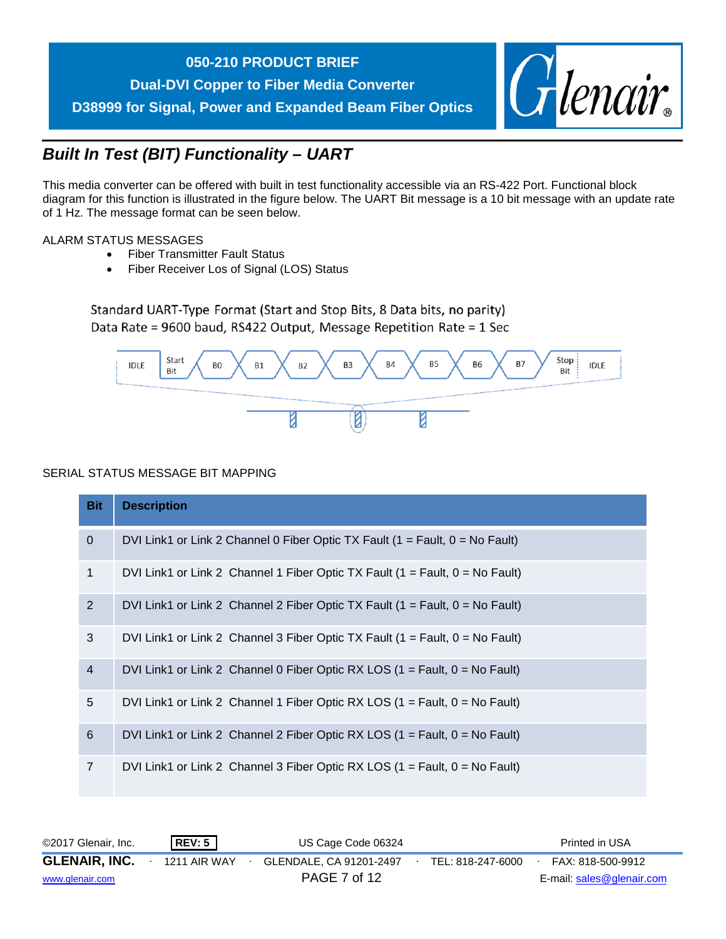## **050-210 PRODUCT BRIEF**

**Dual-DVI Copper to Fiber Media Converter D38999 for Signal, Power and Expanded Beam Fiber Optics**



## *Built In Test (BIT) Functionality – UART*

This media converter can be offered with built in test functionality accessible via an RS-422 Port. Functional block diagram for this function is illustrated in the figure below. The UART Bit message is a 10 bit message with an update rate of 1 Hz. The message format can be seen below.

#### ALARM STATUS MESSAGES

- Fiber Transmitter Fault Status
- Fiber Receiver Los of Signal (LOS) Status

Standard UART-Type Format (Start and Stop Bits, 8 Data bits, no parity) Data Rate = 9600 baud, RS422 Output, Message Repetition Rate = 1 Sec



#### SERIAL STATUS MESSAGE BIT MAPPING

| <b>Bit</b>     | <b>Description</b>                                                                                   |
|----------------|------------------------------------------------------------------------------------------------------|
| $\mathbf 0$    | DVI Link1 or Link 2 Channel 0 Fiber Optic TX Fault $(1 = \text{Fault}, 0 = \text{No} \text{ Fault})$ |
| $\mathbf{1}$   | DVI Link1 or Link 2 Channel 1 Fiber Optic TX Fault $(1 = \text{Fault}, 0 = \text{No Fault})$         |
| $\overline{2}$ | DVI Link1 or Link 2 Channel 2 Fiber Optic TX Fault $(1 =$ Fault, $0 =$ No Fault)                     |
| 3              | DVI Link1 or Link 2 Channel 3 Fiber Optic TX Fault $(1 = \text{Fault}, 0 = \text{No Fault})$         |
| $\overline{4}$ | DVI Link1 or Link 2 Channel 0 Fiber Optic RX LOS $(1 = \text{Fault}, 0 = \text{No} \text{ Fault})$   |
| 5              | DVI Link1 or Link 2 Channel 1 Fiber Optic RX LOS $(1 = \text{Fault}, 0 = \text{No Fault})$           |
| $6\,$          | DVI Link1 or Link 2 Channel 2 Fiber Optic RX LOS $(1 = \text{Fault}, 0 = \text{No Fault})$           |
| $\overline{7}$ | DVI Link1 or Link 2 Channel 3 Fiber Optic RX LOS $(1 = \text{Fault}, 0 = \text{No} \text{ Fault})$   |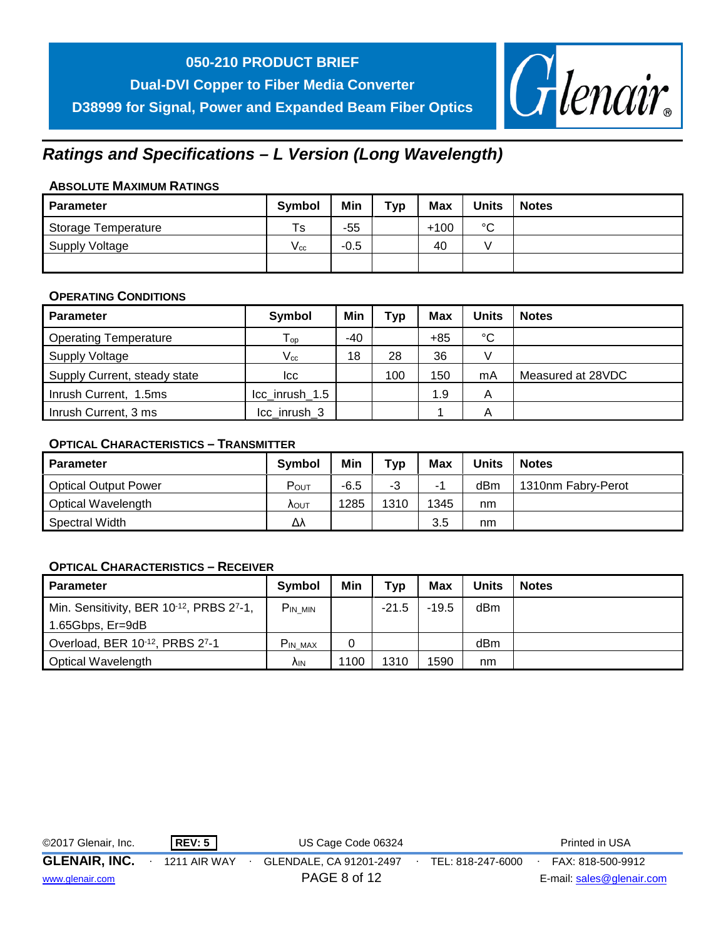**Dual-DVI Copper to Fiber Media Converter D38999 for Signal, Power and Expanded Beam Fiber Optics**



## *Ratings and Specifications – L Version (Long Wavelength)*

#### **ABSOLUTE MAXIMUM RATINGS**

| <b>Parameter</b>           | <b>Symbol</b> | Min    | тур | <b>Max</b> | <b>Units</b> | <b>Notes</b> |
|----------------------------|---------------|--------|-----|------------|--------------|--------------|
| <b>Storage Temperature</b> | Ts            | $-55$  |     | $+100$     | $\sim$<br>◡  |              |
| Supply Voltage             | V cc          | $-0.5$ |     | 40         |              |              |
|                            |               |        |     |            |              |              |

## **OPERATING CONDITIONS**

| <b>Parameter</b>             | Symbol                     | Min | <b>Typ</b> | <b>Max</b> | <b>Units</b> | <b>Notes</b>      |
|------------------------------|----------------------------|-----|------------|------------|--------------|-------------------|
| <b>Operating Temperature</b> | $\mathsf{T}_{\mathsf{op}}$ | -40 |            | $+85$      | °C           |                   |
| Supply Voltage               | $V_{cc}$                   | 18  | 28         | 36         |              |                   |
| Supply Current, steady state | Icc                        |     | 100        | 150        | mA           | Measured at 28VDC |
| Inrush Current, 1.5ms        | Icc_inrush_1.5             |     |            | 1.9        | А            |                   |
| Inrush Current, 3 ms         | Icc inrush 3               |     |            |            | А            |                   |

### **OPTICAL CHARACTERISTICS – TRANSMITTER**

| <b>Parameter</b>            | <b>Symbol</b>    | Min    | тур  | Max  | Units | <b>Notes</b>       |
|-----------------------------|------------------|--------|------|------|-------|--------------------|
| <b>Optical Output Power</b> | $P_{\text{OUT}}$ | $-6.5$ | -3   | -    | dBm   | 1310nm Fabry-Perot |
| Optical Wavelength          | <b>AOUT</b>      | 1285   | 1310 | 1345 | nm    |                    |
| Spectral Width              | Δλ               |        |      | 3.5  | nm    |                    |

#### **OPTICAL CHARACTERISTICS – RECEIVER**

| Parameter                                                         | <b>Symbol</b>  | Min  | Typ     | Max     | Units | <b>Notes</b> |
|-------------------------------------------------------------------|----------------|------|---------|---------|-------|--------------|
| Min. Sensitivity, BER 10 <sup>-12</sup> , PRBS 2 <sup>7</sup> -1, | PIN MIN        |      | $-21.5$ | $-19.5$ | dBm   |              |
| 1.65Gbps, Er=9dB                                                  |                |      |         |         |       |              |
| Overload, BER 10-12, PRBS 27-1                                    | <b>PIN MAX</b> | 0    |         |         | dBm   |              |
| Optical Wavelength                                                | ۸ιΝ            | 1100 | 1310    | 1590    | nm    |              |

| ©2017 Glenair, Inc.  | REV: 5       | US Cage Code 06324      |                   | Printed in USA            |  |
|----------------------|--------------|-------------------------|-------------------|---------------------------|--|
| <b>GLENAIR, INC.</b> | 1211 AIR WAY | GLENDALE, CA 91201-2497 | TEL: 818-247-6000 | FAX: 818-500-9912         |  |
| www.glenair.com      |              | PAGE 8 of 12            |                   | E-mail: sales@glenair.com |  |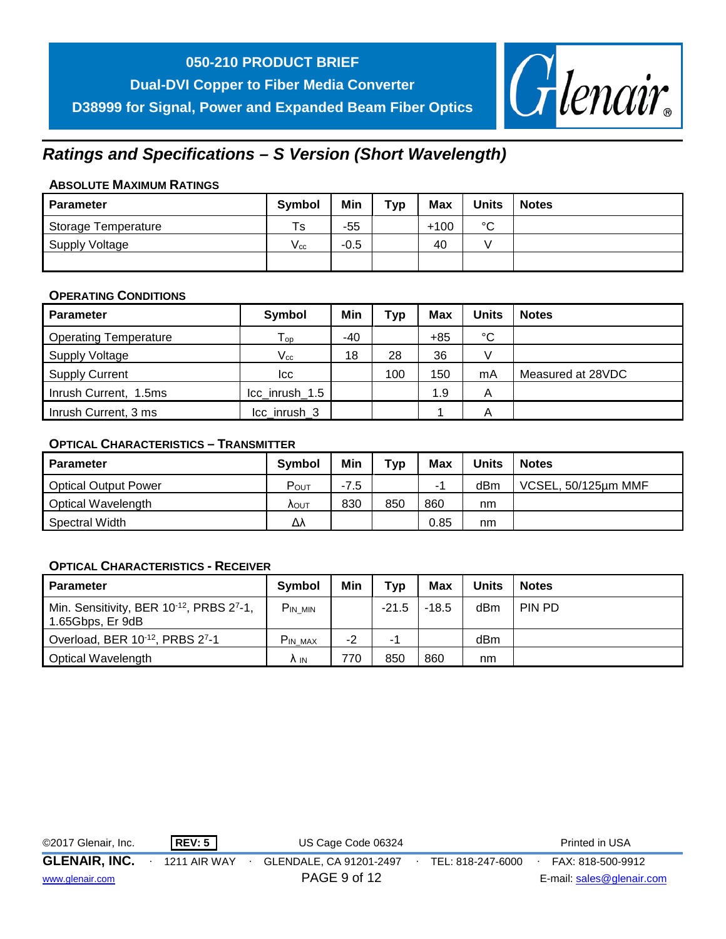## **050-210 PRODUCT BRIEF**

**Dual-DVI Copper to Fiber Media Converter D38999 for Signal, Power and Expanded Beam Fiber Optics**



## *Ratings and Specifications – S Version (Short Wavelength)*

### **ABSOLUTE MAXIMUM RATINGS**

| <b>Parameter</b>           | <b>Symbol</b>     | Min    | тур | <b>Max</b> | <b>Units</b> | <b>Notes</b> |
|----------------------------|-------------------|--------|-----|------------|--------------|--------------|
| <b>Storage Temperature</b> | Ts                | $-55$  |     | $+100$     | $\sim$<br>◡  |              |
| Supply Voltage             | $\mathsf{V_{cc}}$ | $-0.5$ |     | 40         |              |              |
|                            |                   |        |     |            |              |              |

#### **OPERATING CONDITIONS**

| <b>Parameter</b>             | Symbol                      | Min | Typ | <b>Max</b> | Units           | <b>Notes</b>      |
|------------------------------|-----------------------------|-----|-----|------------|-----------------|-------------------|
| <b>Operating Temperature</b> | ${\mathsf T}_{\mathsf{op}}$ | -40 |     | $+85$      | $\rm ^{\circ}C$ |                   |
| <b>Supply Voltage</b>        | $\rm V_{cc}$                | 18  | 28  | 36         |                 |                   |
| <b>Supply Current</b>        | Icc                         |     | 100 | 150        | mA              | Measured at 28VDC |
| Inrush Current, 1.5ms        | Icc inrush 1.5              |     |     | 1.9        | Α               |                   |
| Inrush Current, 3 ms         | Icc inrush 3                |     |     |            | Α               |                   |

### **OPTICAL CHARACTERISTICS – TRANSMITTER**

| <b>Parameter</b>            | <b>Symbol</b> | Min    | тур | Max  | Units | <b>Notes</b>        |
|-----------------------------|---------------|--------|-----|------|-------|---------------------|
| <b>Optical Output Power</b> | $P_{OUT}$     | $-7.5$ |     |      | dBm   | VCSEL, 50/125µm MMF |
| Optical Wavelength          | <b>AOUT</b>   | 830    | 850 | 860  | nm    |                     |
| <b>Spectral Width</b>       | Δλ            |        |     | 0.85 | nm    |                     |

#### **OPTICAL CHARACTERISTICS - RECEIVER**

| <b>Parameter</b>                                            | <b>Symbol</b>  | Min  | Typ     | <b>Max</b> | <b>Units</b> | <b>Notes</b> |
|-------------------------------------------------------------|----------------|------|---------|------------|--------------|--------------|
| Min. Sensitivity, BER 10-12, PRBS 27-1,<br>1.65Gbps, Er 9dB | PIN MIN        |      | $-21.5$ | $-18.5$    | dBm          | PIN PD       |
| Overload, BER 10-12, PRBS 27-1                              | <b>PIN MAX</b> | $-2$ | . .     |            | dBm          |              |
| Optical Wavelength                                          | A IN           | 770  | 850     | 860        | nm           |              |

| ©2017 Glenair, Inc.  | <b>REV: 5</b>       | US Cage Code 06324      |                   | Printed in USA            |  |
|----------------------|---------------------|-------------------------|-------------------|---------------------------|--|
| <b>GLENAIR, INC.</b> | <b>1211 AIR WAY</b> | GLENDALE, CA 91201-2497 | TEL: 818-247-6000 | FAX: 818-500-9912         |  |
| www.glenair.com      |                     | PAGE 9 of 12            |                   | E-mail: sales@glenair.com |  |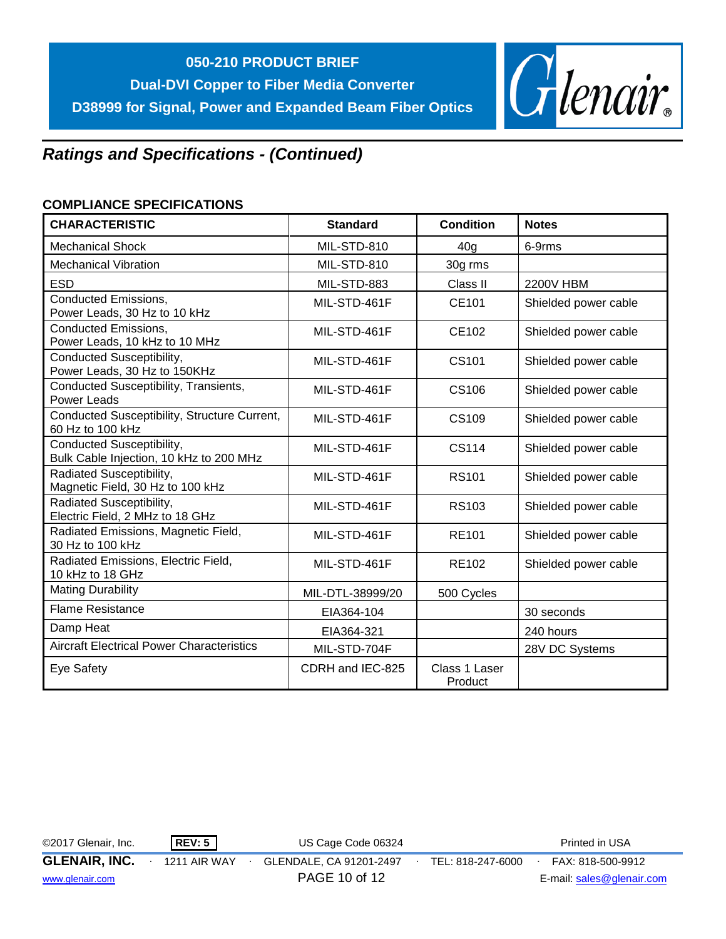

## *Ratings and Specifications - (Continued)*

## **COMPLIANCE SPECIFICATIONS**

| <b>CHARACTERISTIC</b>                                                | <b>Standard</b>  | <b>Condition</b>         | <b>Notes</b>         |
|----------------------------------------------------------------------|------------------|--------------------------|----------------------|
| <b>Mechanical Shock</b>                                              | MIL-STD-810      | 40 <sub>g</sub>          | 6-9rms               |
| <b>Mechanical Vibration</b>                                          | MIL-STD-810      | 30g rms                  |                      |
| <b>ESD</b>                                                           | MIL-STD-883      | Class II                 | 2200V HBM            |
| <b>Conducted Emissions,</b><br>Power Leads, 30 Hz to 10 kHz          | MIL-STD-461F     | CE101                    | Shielded power cable |
| <b>Conducted Emissions,</b><br>Power Leads, 10 kHz to 10 MHz         | MIL-STD-461F     | <b>CE102</b>             | Shielded power cable |
| Conducted Susceptibility,<br>Power Leads, 30 Hz to 150KHz            | MIL-STD-461F     | CS101                    | Shielded power cable |
| Conducted Susceptibility, Transients,<br><b>Power Leads</b>          | MIL-STD-461F     | <b>CS106</b>             | Shielded power cable |
| Conducted Susceptibility, Structure Current,<br>60 Hz to 100 kHz     | MIL-STD-461F     | CS109                    | Shielded power cable |
| Conducted Susceptibility,<br>Bulk Cable Injection, 10 kHz to 200 MHz | MIL-STD-461F     | CS114                    | Shielded power cable |
| Radiated Susceptibility,<br>Magnetic Field, 30 Hz to 100 kHz         | MIL-STD-461F     | <b>RS101</b>             | Shielded power cable |
| Radiated Susceptibility,<br>Electric Field, 2 MHz to 18 GHz          | MIL-STD-461F     | <b>RS103</b>             | Shielded power cable |
| Radiated Emissions, Magnetic Field,<br>30 Hz to 100 kHz              | MIL-STD-461F     | <b>RE101</b>             | Shielded power cable |
| Radiated Emissions, Electric Field,<br>10 kHz to 18 GHz              | MIL-STD-461F     | <b>RE102</b>             | Shielded power cable |
| <b>Mating Durability</b>                                             | MIL-DTL-38999/20 | 500 Cycles               |                      |
| <b>Flame Resistance</b>                                              | EIA364-104       |                          | 30 seconds           |
| Damp Heat                                                            | EIA364-321       |                          | 240 hours            |
| <b>Aircraft Electrical Power Characteristics</b>                     | MIL-STD-704F     |                          | 28V DC Systems       |
| Eye Safety                                                           | CDRH and IEC-825 | Class 1 Laser<br>Product |                      |

| ©2017 Glenair, Inc.  | REV: 5       | US Cage Code 06324      |                   | Printed in USA            |  |
|----------------------|--------------|-------------------------|-------------------|---------------------------|--|
| <b>GLENAIR, INC.</b> | 1211 AIR WAY | GLENDALE, CA 91201-2497 | TEL: 818-247-6000 | FAX: 818-500-9912         |  |
| www.glenair.com      |              | PAGE 10 of 12           |                   | E-mail: sales@glenair.com |  |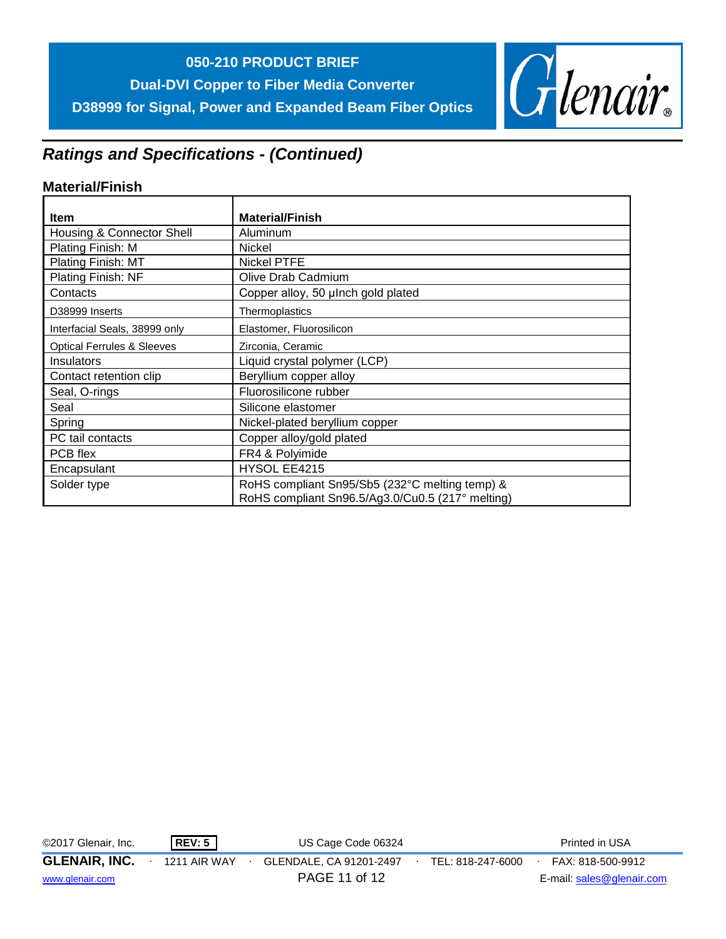## **050-210 PRODUCT BRIEF**

**Dual-DVI Copper to Fiber Media Converter D38999 for Signal, Power and Expanded Beam Fiber Optics**



## *Ratings and Specifications - (Continued)*

## **Material/Finish**

| <b>Item</b>                           | <b>Material/Finish</b>                                                                             |
|---------------------------------------|----------------------------------------------------------------------------------------------------|
|                                       |                                                                                                    |
| Housing & Connector Shell             | Aluminum                                                                                           |
| Plating Finish: M                     | <b>Nickel</b>                                                                                      |
| Plating Finish: MT                    | <b>Nickel PTFE</b>                                                                                 |
| Plating Finish: NF                    | Olive Drab Cadmium                                                                                 |
| Contacts                              | Copper alloy, 50 µlnch gold plated                                                                 |
| D38999 Inserts                        | Thermoplastics                                                                                     |
| Interfacial Seals, 38999 only         | Elastomer, Fluorosilicon                                                                           |
| <b>Optical Ferrules &amp; Sleeves</b> | Zirconia, Ceramic                                                                                  |
| Insulators                            | Liquid crystal polymer (LCP)                                                                       |
| Contact retention clip                | Beryllium copper alloy                                                                             |
| Seal, O-rings                         | Fluorosilicone rubber                                                                              |
| Seal                                  | Silicone elastomer                                                                                 |
| Spring                                | Nickel-plated beryllium copper                                                                     |
| PC tail contacts                      | Copper alloy/gold plated                                                                           |
| PCB flex                              | FR4 & Polyimide                                                                                    |
| Encapsulant                           | HYSOL EE4215                                                                                       |
| Solder type                           | RoHS compliant Sn95/Sb5 (232°C melting temp) &<br>RoHS compliant Sn96.5/Ag3.0/Cu0.5 (217° melting) |

| ©2017 Glenair, Inc.  | <b>REV: 5</b>       | US Cage Code 06324      |                   | Printed in USA            |  |
|----------------------|---------------------|-------------------------|-------------------|---------------------------|--|
| <b>GLENAIR, INC.</b> | <b>1211 AIR WAY</b> | GLENDALE, CA 91201-2497 | TEL: 818-247-6000 | FAX: 818-500-9912         |  |
| www.glenair.com      |                     | PAGE 11 of 12           |                   | E-mail: sales@glenair.com |  |